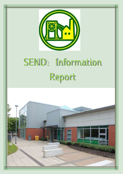

# SEND: Information Report

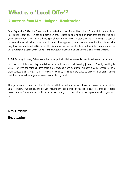# What is a 'Local Offer'?

#### A message from Mrs. Hodgson, Headteacher

From September 2014, the Government has asked all Local Authorities in the UK to publish, in one place, information about the services and provision they expect to be available in their area for children and young people from 0 to 25 who have Special Educational Needs and/or a Disability (SEND). As part of this commitment, all schools are asked to detail their approach, resources and provision for children who may have an additional SEND need. This is known as the 'Local Offer'. Further information about the Local Authority's Local Offer can be found on County Durham Families Information Services website.

At Esh Winning Primary School we strive to support all children to enable them to achieve at our school.

In order to do this, many steps are taken to support them on their learning journeys. Quality teaching is vital. However, for some children there are occasions when additional support may be needed to help them achieve their targets. Our statement of equality is simple; we strive to ensure all children achieve their best, irrespective of gender, race, need or background.

This guide aims to detail our 'Local Offer' to children and families who have an interest in, or need for SEN provision. Of course, should you require any additional information, please feel free to contact myself or Miss Common- we would be more than happy to discuss with you any questions which you may have.

Mrs. Hodgson

Headteacher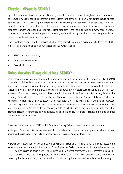### Firstly...What is SEND?

Special Educational Needs and / or a Disability can affect many children throughout their school career and beyond. Whilst disabilities generally affect children long term, not all SEND difficulties should be seen as 'Life Long'. SEND is seen by our school as the child requiring provision that is additional to, or different from the rest of the class. For example they may have additional needs due to dyslexia, coordination problems, number understanding, significant sight problems – the list is endless and every child is unique – however a carefully planned approach is needed, additional to high quality class teaching in order for these children to achieve as well as they can.

Our school has a variety of key policies which directly impact upon our provision for children with SEND, which are all available as part of our school website, which include:

- SEND and Inclusion Policy
- Admission Arrangements
- Accessibility Plan

#### Who decides if my child has SEND?

Often, children may join our school, with parents having a clear picture of their child's needs—parents know their children best—and as a school we see parents as full partners in their child's education. Sometimes, however, it is school staff who may initially identify a concern. If this were to be the case, school staff would liaise with parents at the earliest opportunity to discuss such concerns and agree a way forwards. For some concerns, we may discuss the involvement of the Educational Psychology Service, the Learning Support Service, the Occupational Therapy Service, Parent Support Advisor, Child and Adolescent Mental Health Service (CAMHS) or your local GP. It is important to understand, however, that the purpose of such involvement of professionals is not always to seek a 'label' or 'diagnosis' - but more often in order for advice to be offered to help the child learn as well as they possibly can. For example, certain programmes may be advised, teaching strategies, resources or service in order to address the needs as best as possible.

There are two categories of SEND at Esh Winning Primary School, these children are in receipt of:

A Support Plan; the children are overseen by the school and the school and parents initiate, review, amend and cease support for children whose needs are seen at 'Support Plan' level.

A Statement / Education, Health and Care Plan (EHCP); historically , children who had higher needs were issued a 'statement' by the local authority. From September 2014, statements will cease to be issued, and EHCPs will be issued in their place. All children with a current statement will be assessed against the criteria for EHCPs over the coming years. Children with needs at this level have their plans initiated and ceased by the Local Authority, but reviewed and monitored by the school and parents at least annually.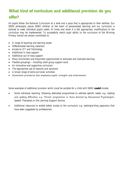# What kind of curriculum and additional provision do you offer?

All pupils follow the National Curriculum at a level and a pace that is appropriate to their abilities. Our SEND philosophy places SEND children at the heart of personalised learning and our curriculum is tailored to meet individual pupils needs. At times and when it is felt appropriate, modifications to the curriculum may be implemented. To successfully match pupil ability to the curriculum at Esh Winning Primary School we remain committed to:

- A range of teaching and learning styles
- Differentiated learning materials
- Access to ICT and Technology
- Additional in class support
- Additional out of class support
- Many Enrichment and Enjoyment opportunities to stimulate and motivate learning
- Flexible groupings including small group support work
- An innovative and supportive curriculum
- The appropriate use of rewards and sanctions
- A broad range of extra-curricular activities
- Assessment procedures that emphasise pupils' strengths and achievements

Some examples of additional provision which could be suitable for a child with SEND **could** include:

- Some individual teaching, following dedicated programmes to address specific needs, e.g. reading and spelling difficulties, e.g. 'Hornet' programmes or those directed by Educational Psychologists, Speech Therapists or the Learning Support Service.
- Additional resources to enable better access to the curriculum, e.g. seating/writing apparatus that have been suggested by professionals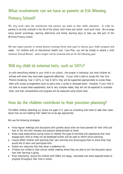#### What involvement can we have as parents at Esh Winning

#### Primary School?

We very much value the contribution that parents can make to their child's education. In order for parents to be fully involved in the life of the school, both home and school must work hard. We arrange many parent workshops, learning afternoons and family learning days to help you feel part of Esh Winning Primary School.

We also expect parents to attend parents evenings (three each year) to discuss your child's progress and needs. For children with an Educational Health and Care Plan, you will be invited to attend a child centered 'Annual Review' where targets will be reviewed and set for the following year.

#### Will my child sit external tests, such as SATs?

As with everything related to your child in our school—the answer is individual, but most children do achieve well when they have been supported effectively. If your child is able to access the Year One Phonics Screening, Year 2 SATs, or Year 6 SATs, they will be supported appropriately to access these, often with access arrangements (such as extra time, a scribe or enlarged texts). However, if your child is not able to access these assessments, due to very complex needs, they will not be expected to complete them, and their achievements and progress will be measured using school data.

#### How do the children contribute to their provision planning?

The SEND children attending our school are aged 3-11 years so consulting with them to seek their views about how we are meeting their needs has to be age appropriate.

We use the following strategies:

- Have regular meetings and discussions with parents about what we have planned for their child and how to link this with interests and passions demonstrated at home.
- Make close observations during school to identify the types of activities and experiences that most engage each child so these can be developed further and be used to inform future planning.
- Involve SEND children with planning their own activities and encouraging them to share what they would like to learn and participate with.
- Extend any resources that they show a preference for.
- Children are invited to their annual review meeting where they are able to join the discussion about how their learning is going.
- Most importantly, ensure the children with SEND are happy, motivated and make expected levels of progress throughout their time in school.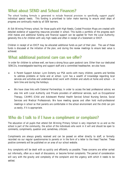#### What about SEND and School Finances?

The school funding formula is generated to include financial provision to specifically support pupils' individual special needs. This funding is prioritised to tailor make learning to ensure small steps of progress are continually made by all SEN learners.

At Esh Winning Primary school, for those pupils with High Needs, Costed Provision Maps are created with detailed evidence of supporting resources provided in school. This builds a portfolio of the progress each child makes and additional funding and financial support can be applied for from the Local Authority; generally this is for children with very high needs and often in receipt of a Statement or EHCP.

Children in receipt of an EHCP may be allocated additional funds as part of their plan. The use of these funds is discussed at the initiation of the plan, and during the review meetings to ensure best value is achieved.

#### What additional pastoral care can we offer?

In order for children to achieve well, we have a strong focus upon pastoral care. Other than our dedicated SENCOs, knowledgeable teaching and support staff and a committed headteacher, we also have;

- A Parent Support Advisor; Lynn Doherty our PSA works with many children, parents and families to address problems at home and at school. Lynn has a wealth of knowledge regarding local services and activities and undertakes direct work with children and adults at home and school – in term time and during the holidays.
- We have close links with External Partnerships; In order to access the best professional advice, we also link with Local Authority and Private providers of additional services, such as Occupational Therapy, CAHMS (Child and Adolescent Mental Health Service) School Nursing Service, Social Services and Medical Professionals. We have meeting spaces and often hold multi-professional meetings in school so that parents are comfortable in the school environment and the child can join us easily, if it is appropriate.

#### Who do I talk to if I have a compliment or complaint?

The education of all pupils that attend Esh Winning Primary School is very important to us and as the school is part of the community, the action of the individuals who work in it will and should be open to comments, compliments, question and, sometimes, criticism.

Compliments are always greatly received and can be passed on either directly to staff, or formally recorded via our regular questionnaires to parents or in the form of a letter to the Head Teacher. These positive comments will be published on an area of our school website.

Any complaints will be dealt with as quickly and efficiently as possible. These concerns are either sorted out informally, often as a result of discussions, or become formal complaints. The period of consideration will vary with the gravity and complexity of the complaint and the urgency with which it needs to be settled.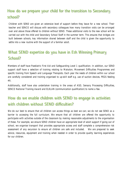# How do we prepare your child for the transition to Secondary school?

Children with SEND are given an extensive level of support before they leave for a new school. Their teacher and SENCO will discuss with secondary colleagues how many transition visits can be arranged over and above those offered to children without SEND. These additional visits to the new school will be carried out with the child and Secondary School Staff in the summer term. This ensures that bridges are built between schools, key information shared between staff and the child is given the opportunity to settle into a new routine with the support of a familiar adult.

# What SEND expertise do you have in Esh Winning Primary School?

Members of staff have Paediatric First Aid and Safeguarding Level 1 qualification. In addition, our SEND support staff have a selection of training relating to Makaton, Movement Difficulties Programmes and specific training from Speech and Language Therapists. Each year the needs of children within our school are carefully considered and training organised to up-skill staff e.g. use of suction devices, PEGS feeding etc.

Additionally, staff have also undertaken training in the areas of ASD, Sensory Processing Difficulties, SENCO National Training Award and ELKLAN (communication qualification) to name a few.

# How do we enable children with SEND to engage in activities with children without SEND difficulties?

We do our best to ensure that all children can access things as best we can; we do not see SEND as a barrier to accessing the full curriculum. We ensure that all children are offered the opportunity to participate with activities outside of the classroom by making reasonable adjustments to the organisation of these. For example, we ensure SEND children have an appropriate level of adult support if going out of school, we organise transport that provides appropriate access and staff complete a comprehensive risk assessment of any excursion to ensure all children are safe and included. We are prepared to seek advice, resources, equipment and training when needed in order to provide quality learning experiences for our children.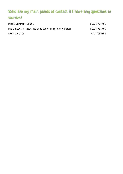# Who are my main points of contact if I have any questions or worries?

| Miss S Common-SENCO                                     | 0191 3734701   |
|---------------------------------------------------------|----------------|
| Mrs C Hodgson—Headteacher at Esh Winning Primary School | 0191 3734701   |
| <b>SEND Governor</b>                                    | Mr G Burlinson |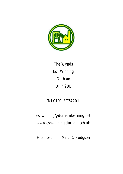

The Wynds Esh Winning Durham DH7 9BE

# Tel 0191 3734701

eshwinning@durhamlearning.net www.eshwinning.durham.sch.uk

Headteacher—Mrs. C. Hodgson